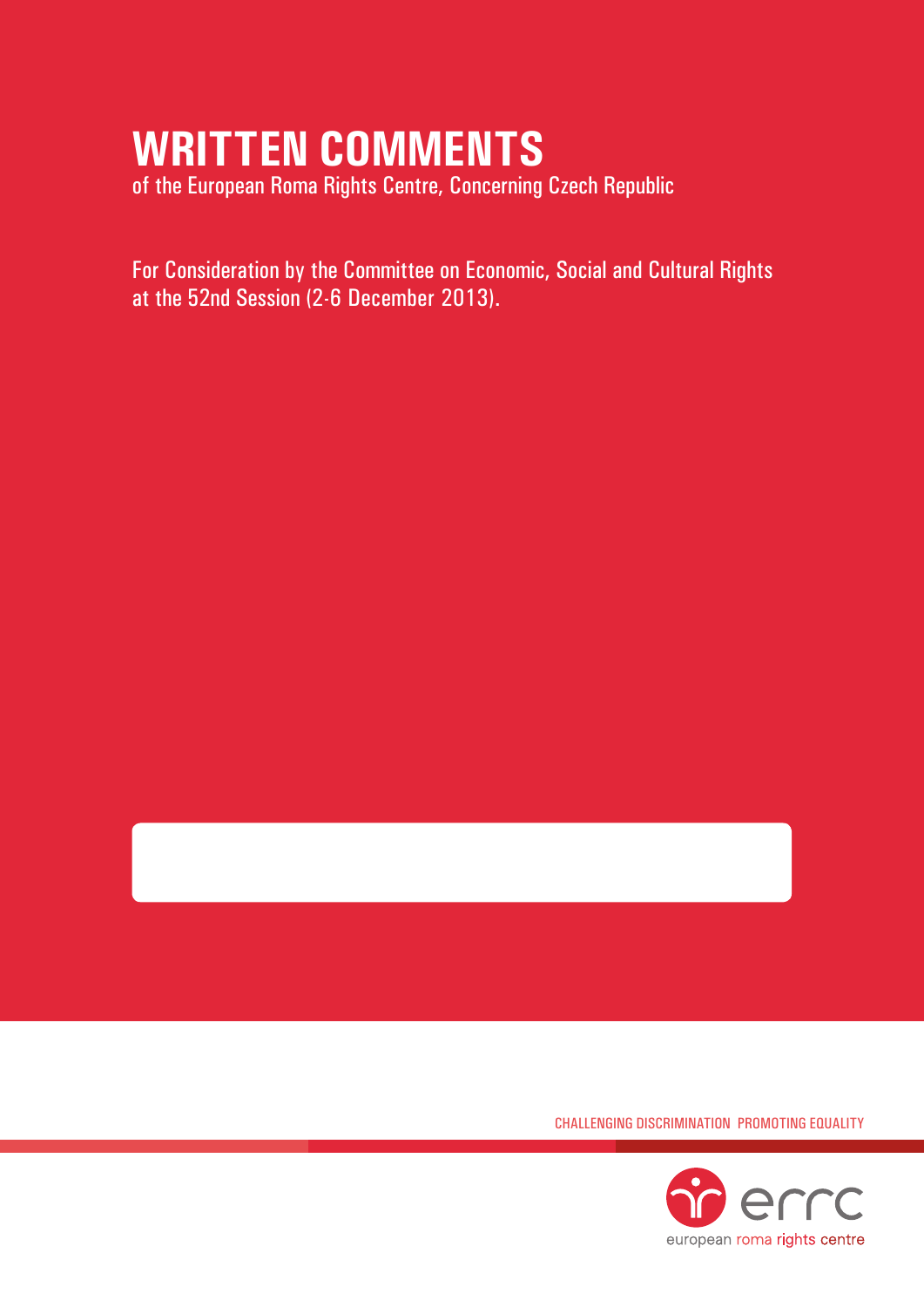# **Written Comments**

of the European Roma Rights Centre, Concerning Czech Republic

For Consideration by the Committee on Economic, Social and Cultural Rights at the 52nd Session (2-6 December 2013).

Challenging Discrimination Promoting Equality

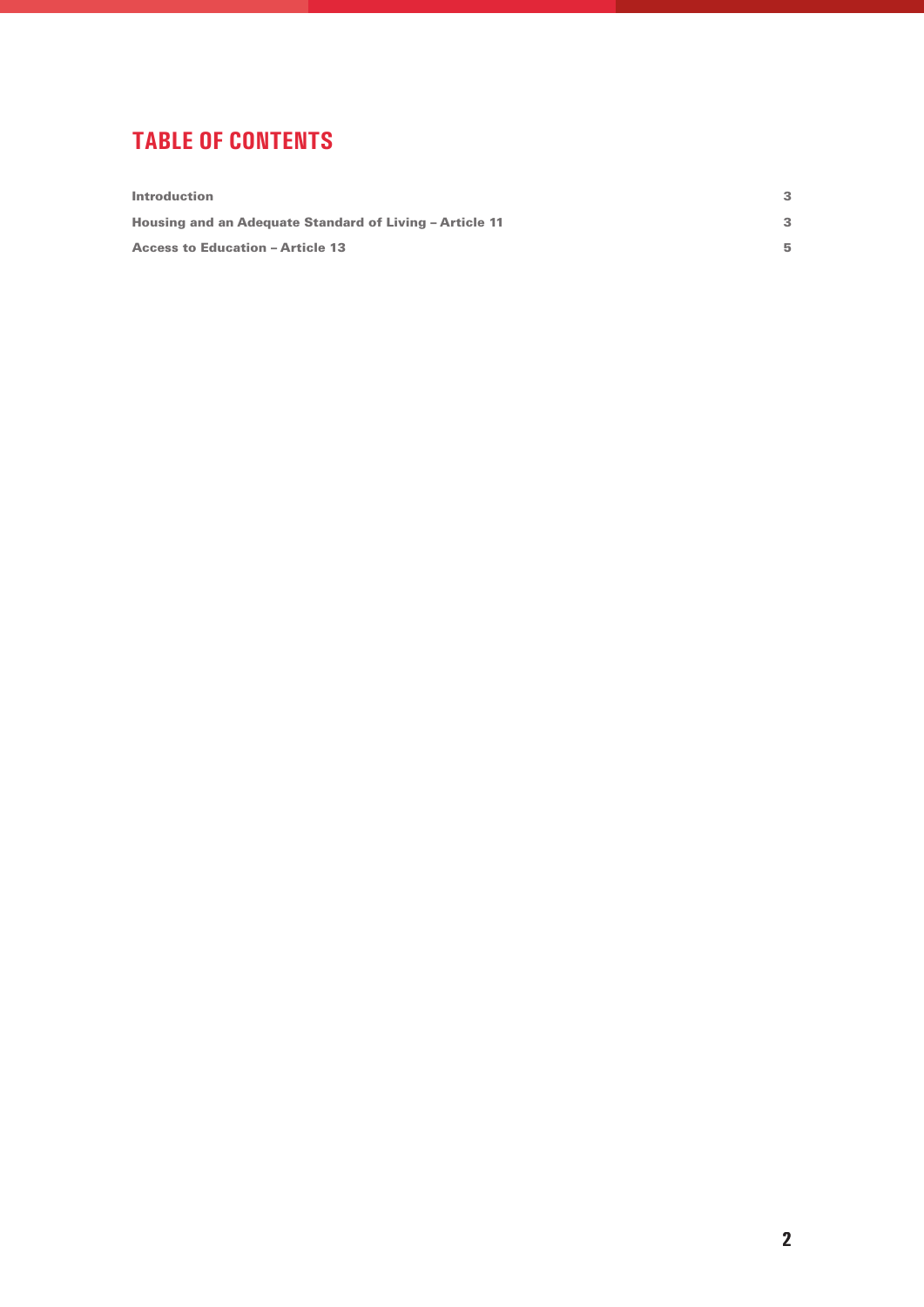## **tablE of contents**

| <b>Introduction</b>                                     |    |
|---------------------------------------------------------|----|
| Housing and an Adequate Standard of Living - Article 11 |    |
| <b>Access to Education - Article 13</b>                 | 5. |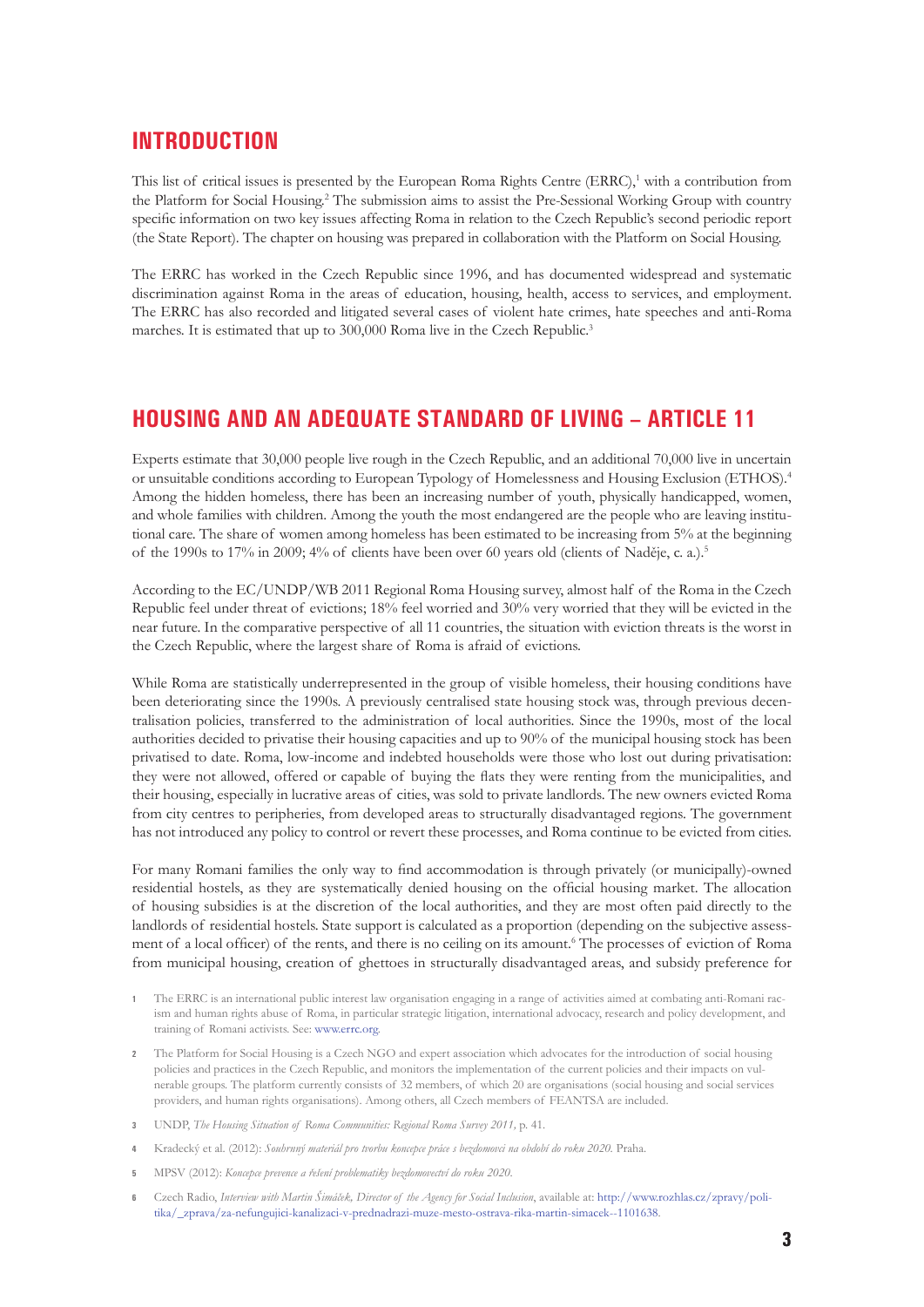#### **Introduction**

This list of critical issues is presented by the European Roma Rights Centre (ERRC),<sup>1</sup> with a contribution from the Platform for Social Housing.<sup>2</sup> The submission aims to assist the Pre-Sessional Working Group with country specific information on two key issues affecting Roma in relation to the Czech Republic's second periodic report (the State Report). The chapter on housing was prepared in collaboration with the Platform on Social Housing.

The ERRC has worked in the Czech Republic since 1996, and has documented widespread and systematic discrimination against Roma in the areas of education, housing, health, access to services, and employment. The ERRC has also recorded and litigated several cases of violent hate crimes, hate speeches and anti-Roma marches. It is estimated that up to 300,000 Roma live in the Czech Republic.<sup>3</sup>

### **Housing and an adequate standard of living – Article 11**

Experts estimate that 30,000 people live rough in the Czech Republic, and an additional 70,000 live in uncertain or unsuitable conditions according to European Typology of Homelessness and Housing Exclusion (ETHOS).4 Among the hidden homeless, there has been an increasing number of youth, physically handicapped, women, and whole families with children. Among the youth the most endangered are the people who are leaving institutional care. The share of women among homeless has been estimated to be increasing from 5% at the beginning of the 1990s to 17% in 2009; 4% of clients have been over 60 years old (clients of Naděje, c. a.).5

According to the EC/UNDP/WB 2011 Regional Roma Housing survey, almost half of the Roma in the Czech Republic feel under threat of evictions; 18% feel worried and 30% very worried that they will be evicted in the near future. In the comparative perspective of all 11 countries, the situation with eviction threats is the worst in the Czech Republic, where the largest share of Roma is afraid of evictions.

While Roma are statistically underrepresented in the group of visible homeless, their housing conditions have been deteriorating since the 1990s. A previously centralised state housing stock was, through previous decentralisation policies, transferred to the administration of local authorities. Since the 1990s, most of the local authorities decided to privatise their housing capacities and up to 90% of the municipal housing stock has been privatised to date. Roma, low-income and indebted households were those who lost out during privatisation: they were not allowed, offered or capable of buying the flats they were renting from the municipalities, and their housing, especially in lucrative areas of cities, was sold to private landlords. The new owners evicted Roma from city centres to peripheries, from developed areas to structurally disadvantaged regions. The government has not introduced any policy to control or revert these processes, and Roma continue to be evicted from cities.

For many Romani families the only way to find accommodation is through privately (or municipally)-owned residential hostels, as they are systematically denied housing on the official housing market. The allocation of housing subsidies is at the discretion of the local authorities, and they are most often paid directly to the landlords of residential hostels. State support is calculated as a proportion (depending on the subjective assessment of a local officer) of the rents, and there is no ceiling on its amount.<sup>6</sup> The processes of eviction of Roma from municipal housing, creation of ghettoes in structurally disadvantaged areas, and subsidy preference for

- **1** The ERRC is an international public interest law organisation engaging in a range of activities aimed at combating anti-Romani racism and human rights abuse of Roma, in particular strategic litigation, international advocacy, research and policy development, and training of Romani activists. See: www.errc.org.
- **2** The Platform for Social Housing is a Czech NGO and expert association which advocates for the introduction of social housing policies and practices in the Czech Republic, and monitors the implementation of the current policies and their impacts on vulnerable groups. The platform currently consists of 32 members, of which 20 are organisations (social housing and social services providers, and human rights organisations). Among others, all Czech members of FEANTSA are included.
- **3** UNDP, *The Housing Situation of Roma Communities: Regional Roma Survey 2011,* p. 41.
- **4** Kradecký et al. (2012): *Souhrnný materiál pro tvorbu koncepce práce s bezdomovci na období do roku 2020.* Praha.
- **5** MPSV (2012): *Koncepce prevence a řešení problematiky bezdomovectví do roku 2020.*
- **6** Czech Radio, *Interview with Martin Šimáček, Director of the Agency for Social Inclusion*, available at: http://www.rozhlas.cz/zpravy/politika/\_zprava/za-nefungujici-kanalizaci-v-prednadrazi-muze-mesto-ostrava-rika-martin-simacek--1101638.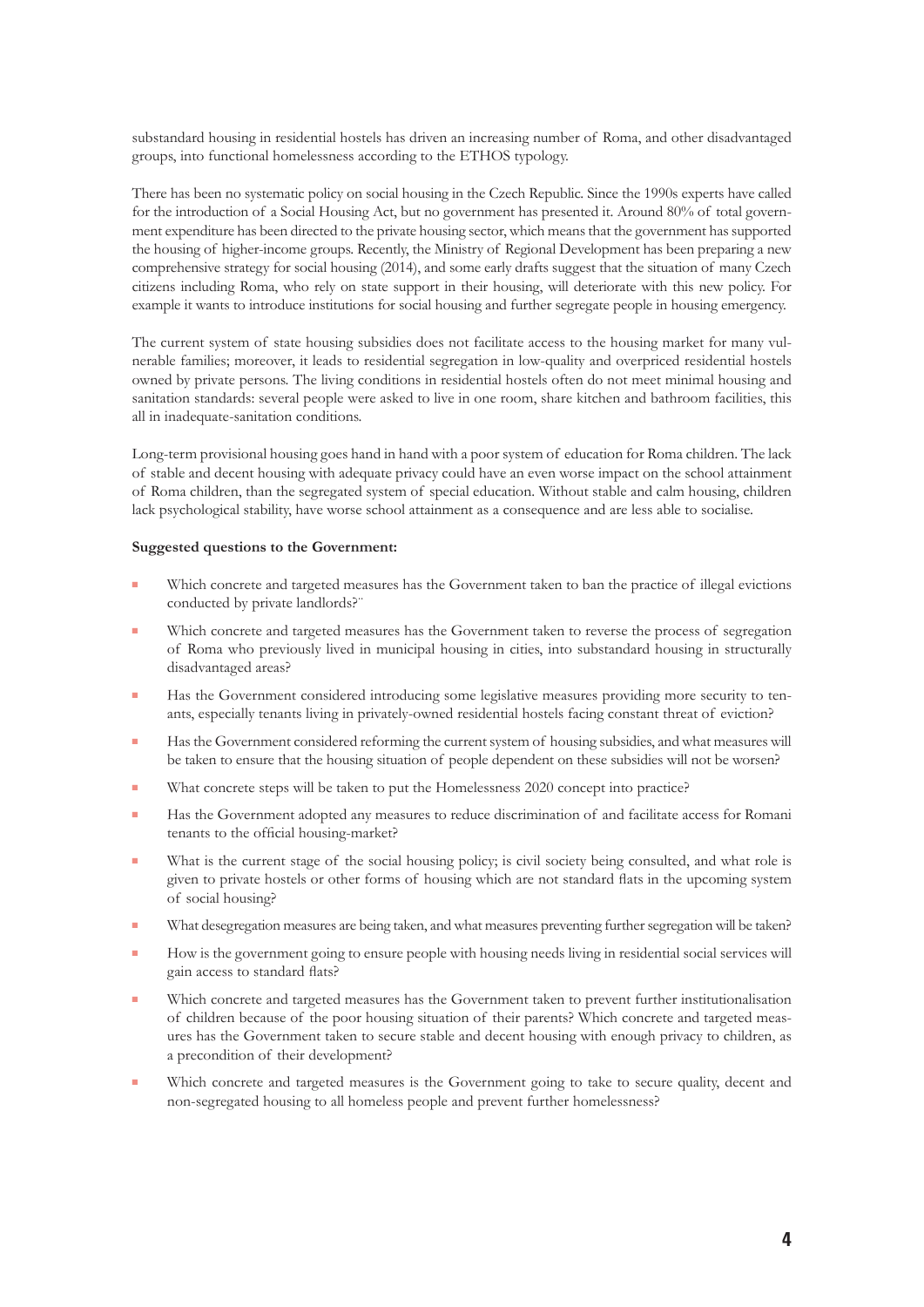substandard housing in residential hostels has driven an increasing number of Roma, and other disadvantaged groups, into functional homelessness according to the ETHOS typology.

There has been no systematic policy on social housing in the Czech Republic. Since the 1990s experts have called for the introduction of a Social Housing Act, but no government has presented it. Around 80% of total government expenditure has been directed to the private housing sector, which means that the government has supported the housing of higher-income groups. Recently, the Ministry of Regional Development has been preparing a new comprehensive strategy for social housing (2014), and some early drafts suggest that the situation of many Czech citizens including Roma, who rely on state support in their housing, will deteriorate with this new policy. For example it wants to introduce institutions for social housing and further segregate people in housing emergency.

The current system of state housing subsidies does not facilitate access to the housing market for many vulnerable families; moreover, it leads to residential segregation in low-quality and overpriced residential hostels owned by private persons. The living conditions in residential hostels often do not meet minimal housing and sanitation standards: several people were asked to live in one room, share kitchen and bathroom facilities, this all in inadequate-sanitation conditions.

Long-term provisional housing goes hand in hand with a poor system of education for Roma children. The lack of stable and decent housing with adequate privacy could have an even worse impact on the school attainment of Roma children, than the segregated system of special education. Without stable and calm housing, children lack psychological stability, have worse school attainment as a consequence and are less able to socialise.

#### **Suggested questions to the Government:**

- Which concrete and targeted measures has the Government taken to ban the practice of illegal evictions conducted by private landlords?"
- **Which concrete and targeted measures has the Government taken to reverse the process of segregation** of Roma who previously lived in municipal housing in cities, into substandard housing in structurally disadvantaged areas?
- Has the Government considered introducing some legislative measures providing more security to tenants, especially tenants living in privately-owned residential hostels facing constant threat of eviction?
- Has the Government considered reforming the current system of housing subsidies, and what measures will be taken to ensure that the housing situation of people dependent on these subsidies will not be worsen?
- What concrete steps will be taken to put the Homelessness 2020 concept into practice?
- Has the Government adopted any measures to reduce discrimination of and facilitate access for Romani tenants to the official housing-market?
- What is the current stage of the social housing policy; is civil society being consulted, and what role is given to private hostels or other forms of housing which are not standard flats in the upcoming system of social housing?
- What desegregation measures are being taken, and what measures preventing further segregation will be taken?
- How is the government going to ensure people with housing needs living in residential social services will gain access to standard flats?
- **Which concrete and targeted measures has the Government taken to prevent further institutionalisation** of children because of the poor housing situation of their parents? Which concrete and targeted measures has the Government taken to secure stable and decent housing with enough privacy to children, as a precondition of their development?
- Which concrete and targeted measures is the Government going to take to secure quality, decent and non-segregated housing to all homeless people and prevent further homelessness?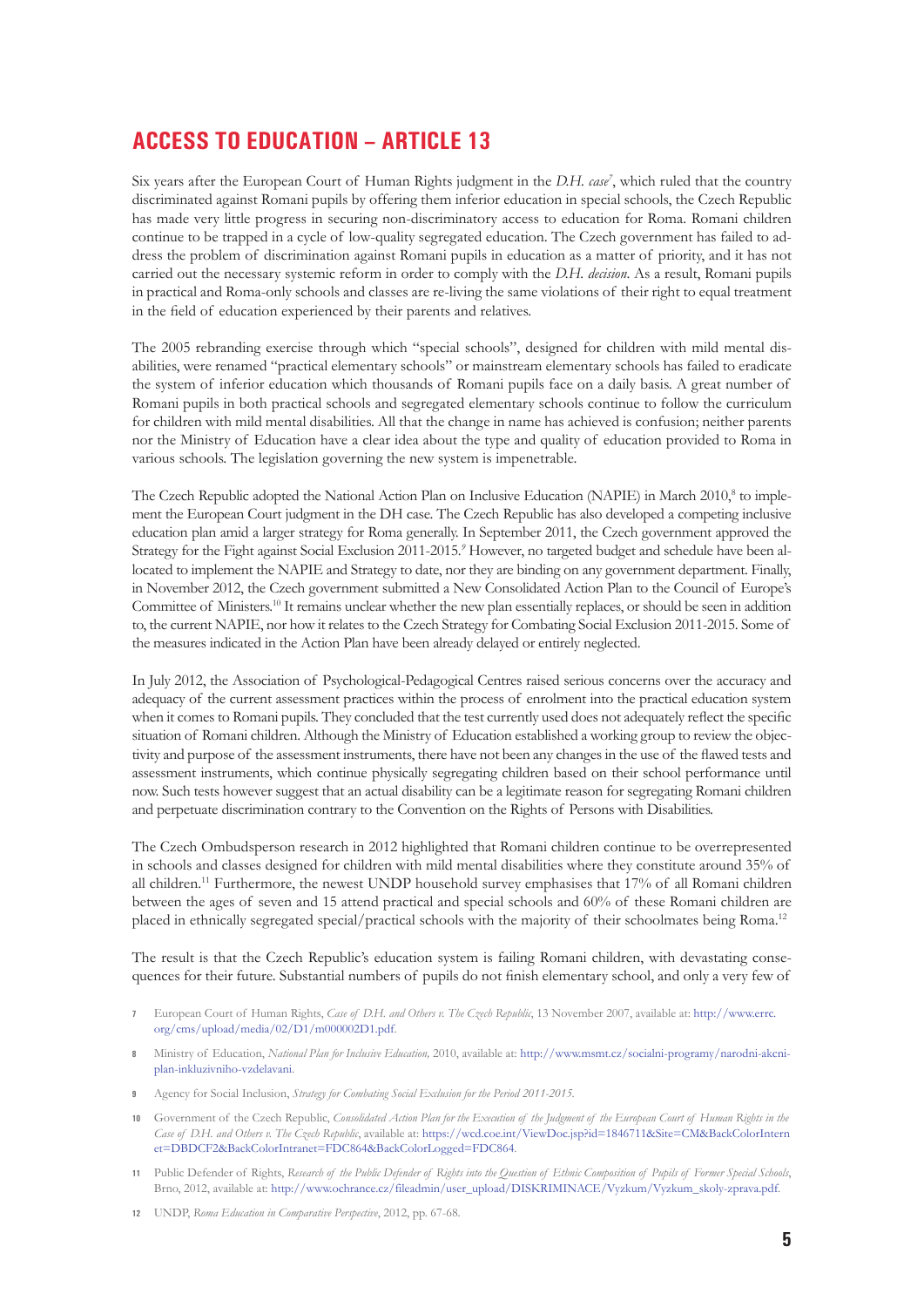## **Access to Education – Article 13**

Six years after the European Court of Human Rights judgment in the *D.H. case*<sup>7</sup>, which ruled that the country discriminated against Romani pupils by offering them inferior education in special schools, the Czech Republic has made very little progress in securing non-discriminatory access to education for Roma. Romani children continue to be trapped in a cycle of low-quality segregated education. The Czech government has failed to address the problem of discrimination against Romani pupils in education as a matter of priority, and it has not carried out the necessary systemic reform in order to comply with the *D.H. decision*. As a result, Romani pupils in practical and Roma-only schools and classes are re-living the same violations of their right to equal treatment in the field of education experienced by their parents and relatives.

The 2005 rebranding exercise through which "special schools", designed for children with mild mental disabilities, were renamed "practical elementary schools" or mainstream elementary schools has failed to eradicate the system of inferior education which thousands of Romani pupils face on a daily basis. A great number of Romani pupils in both practical schools and segregated elementary schools continue to follow the curriculum for children with mild mental disabilities. All that the change in name has achieved is confusion; neither parents nor the Ministry of Education have a clear idea about the type and quality of education provided to Roma in various schools. The legislation governing the new system is impenetrable.

The Czech Republic adopted the National Action Plan on Inclusive Education (NAPIE) in March 2010,<sup>8</sup> to implement the European Court judgment in the DH case. The Czech Republic has also developed a competing inclusive education plan amid a larger strategy for Roma generally. In September 2011, the Czech government approved the Strategy for the Fight against Social Exclusion 2011-2015.<sup>9</sup> However, no targeted budget and schedule have been allocated to implement the NAPIE and Strategy to date, nor they are binding on any government department. Finally, in November 2012, the Czech government submitted a New Consolidated Action Plan to the Council of Europe's Committee of Ministers.10 It remains unclear whether the new plan essentially replaces, or should be seen in addition to, the current NAPIE, nor how it relates to the Czech Strategy for Combating Social Exclusion 2011-2015. Some of the measures indicated in the Action Plan have been already delayed or entirely neglected.

In July 2012, the Association of Psychological-Pedagogical Centres raised serious concerns over the accuracy and adequacy of the current assessment practices within the process of enrolment into the practical education system when it comes to Romani pupils. They concluded that the test currently used does not adequately reflect the specific situation of Romani children. Although the Ministry of Education established a working group to review the objectivity and purpose of the assessment instruments, there have not been any changes in the use of the flawed tests and assessment instruments, which continue physically segregating children based on their school performance until now. Such tests however suggest that an actual disability can be a legitimate reason for segregating Romani children and perpetuate discrimination contrary to the Convention on the Rights of Persons with Disabilities.

The Czech Ombudsperson research in 2012 highlighted that Romani children continue to be overrepresented in schools and classes designed for children with mild mental disabilities where they constitute around 35% of all children.<sup>11</sup> Furthermore, the newest UNDP household survey emphasises that 17% of all Romani children between the ages of seven and 15 attend practical and special schools and 60% of these Romani children are placed in ethnically segregated special/practical schools with the majority of their schoolmates being Roma.12

The result is that the Czech Republic's education system is failing Romani children, with devastating consequences for their future. Substantial numbers of pupils do not finish elementary school, and only a very few of

- **7** European Court of Human Rights, *Case of D.H. and Others v. The Czech Republic*, 13 November 2007, available at: http://www.errc. org/cms/upload/media/02/D1/m000002D1.pdf.
- **8** Ministry of Education, *National Plan for Inclusive Education,* 2010, available at: http://www.msmt.cz/socialni-programy/narodni-akcniplan-inkluzivniho-vzdelavani.
- **9** Agency for Social Inclusion, *Strategy for Combating Social Exclusion for the Period 2011-2015.*
- **10** Government of the Czech Republic, *Consolidated Action Plan for the Execution of the Judgment of the European Court of Human Rights in the Case of D.H. and Others v. The Czech Republic*, available at: https://wcd.coe.int/ViewDoc.jsp?id=1846711&Site=CM&BackColorIntern et=DBDCF2&BackColorIntranet=FDC864&BackColorLogged=FDC864.
- **11** Public Defender of Rights, *Research of the Public Defender of Rights into the Question of Ethnic Composition of Pupils of Former Special Schools*, Brno, 2012, available at: http://www.ochrance.cz/fileadmin/user\_upload/DISKRIMINACE/Vyzkum/Vyzkum\_skoly-zprava.pdf.
- **12** UNDP, *Roma Education in Comparative Perspective*, 2012, pp. 67-68.